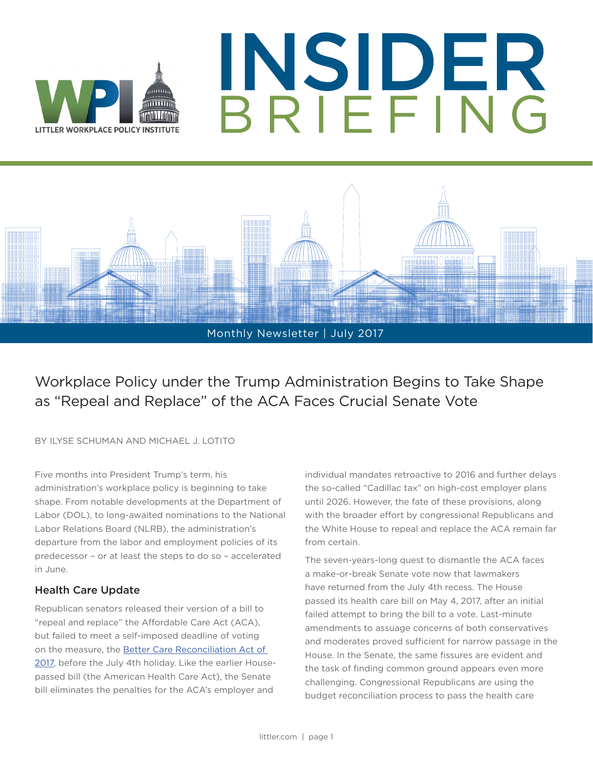





Workplace Policy under the Trump Administration Begins to Take Shape as "Repeal and Replace" of the ACA Faces Crucial Senate Vote

BY ILYSE SCHUMAN AND MICHAEL J. LOTITO

Five months into President Trump's term, his administration's workplace policy is beginning to take shape. From notable developments at the Department of Labor (DOL), to long-awaited nominations to the National Labor Relations Board (NLRB), the administration's departure from the labor and employment policies of its predecessor – or at least the steps to do so – accelerated in June.

### Health Care Update

Republican senators released their version of a bill to "repeal and replace" the Affordable Care Act (ACA), but failed to meet a self-imposed deadline of voting on the measure, the Better Care Reconciliation Act of [2017](https://www.budget.senate.gov/bettercare), before the July 4th holiday. Like the earlier Housepassed bill (the American Health Care Act), the Senate bill eliminates the penalties for the ACA's employer and

individual mandates retroactive to 2016 and further delays the so-called "Cadillac tax" on high-cost employer plans until 2026. However, the fate of these provisions, along with the broader effort by congressional Republicans and the White House to repeal and replace the ACA remain far from certain.

The seven-years-long quest to dismantle the ACA faces a make-or-break Senate vote now that lawmakers have returned from the July 4th recess. The House passed its health care bill on May 4, 2017, after an initial failed attempt to bring the bill to a vote. Last-minute amendments to assuage concerns of both conservatives and moderates proved sufficient for narrow passage in the House. In the Senate, the same fissures are evident and the task of finding common ground appears even more challenging. Congressional Republicans are using the budget reconciliation process to pass the health care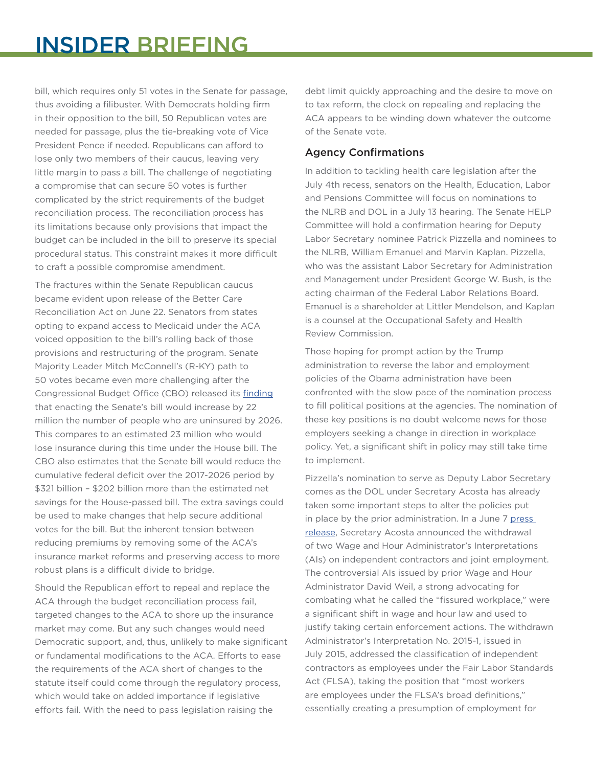bill, which requires only 51 votes in the Senate for passage, thus avoiding a filibuster. With Democrats holding firm in their opposition to the bill, 50 Republican votes are needed for passage, plus the tie-breaking vote of Vice President Pence if needed. Republicans can afford to lose only two members of their caucus, leaving very little margin to pass a bill. The challenge of negotiating a compromise that can secure 50 votes is further complicated by the strict requirements of the budget reconciliation process. The reconciliation process has its limitations because only provisions that impact the budget can be included in the bill to preserve its special procedural status. This constraint makes it more difficult to craft a possible compromise amendment.

The fractures within the Senate Republican caucus became evident upon release of the Better Care Reconciliation Act on June 22. Senators from states opting to expand access to Medicaid under the ACA voiced opposition to the bill's rolling back of those provisions and restructuring of the program. Senate Majority Leader Mitch McConnell's (R-KY) path to 50 votes became even more challenging after the Congressional Budget Office (CBO) released its [finding](https://www.cbo.gov/publication/52849) that enacting the Senate's bill would increase by 22 million the number of people who are uninsured by 2026. This compares to an estimated 23 million who would lose insurance during this time under the House bill. The CBO also estimates that the Senate bill would reduce the cumulative federal deficit over the 2017-2026 period by \$321 billion – \$202 billion more than the estimated net savings for the House-passed bill. The extra savings could be used to make changes that help secure additional votes for the bill. But the inherent tension between reducing premiums by removing some of the ACA's insurance market reforms and preserving access to more robust plans is a difficult divide to bridge.

Should the Republican effort to repeal and replace the ACA through the budget reconciliation process fail, targeted changes to the ACA to shore up the insurance market may come. But any such changes would need Democratic support, and, thus, unlikely to make significant or fundamental modifications to the ACA. Efforts to ease the requirements of the ACA short of changes to the statute itself could come through the regulatory process, which would take on added importance if legislative efforts fail. With the need to pass legislation raising the

debt limit quickly approaching and the desire to move on to tax reform, the clock on repealing and replacing the ACA appears to be winding down whatever the outcome of the Senate vote.

### Agency Confirmations

In addition to tackling health care legislation after the July 4th recess, senators on the Health, Education, Labor and Pensions Committee will focus on nominations to the NLRB and DOL in a July 13 hearing. The Senate HELP Committee will hold a confirmation hearing for Deputy Labor Secretary nominee Patrick Pizzella and nominees to the NLRB, William Emanuel and Marvin Kaplan. Pizzella, who was the assistant Labor Secretary for Administration and Management under President George W. Bush, is the acting chairman of the Federal Labor Relations Board. Emanuel is a shareholder at Littler Mendelson, and Kaplan is a counsel at the Occupational Safety and Health Review Commission.

Those hoping for prompt action by the Trump administration to reverse the labor and employment policies of the Obama administration have been confronted with the slow pace of the nomination process to fill political positions at the agencies. The nomination of these key positions is no doubt welcome news for those employers seeking a change in direction in workplace policy. Yet, a significant shift in policy may still take time to implement.

Pizzella's nomination to serve as Deputy Labor Secretary comes as the DOL under Secretary Acosta has already taken some important steps to alter the policies put in place by the prior administration. In a June 7 [press](https://www.dol.gov/newsroom/releases/opa/opa20170607)  [release](https://www.dol.gov/newsroom/releases/opa/opa20170607), Secretary Acosta announced the withdrawal of two Wage and Hour Administrator's Interpretations (AIs) on independent contractors and joint employment. The controversial AIs issued by prior Wage and Hour Administrator David Weil, a strong advocating for combating what he called the "fissured workplace," were a significant shift in wage and hour law and used to justify taking certain enforcement actions. The withdrawn Administrator's Interpretation No. 2015-1, issued in July 2015, addressed the classification of independent contractors as employees under the Fair Labor Standards Act (FLSA), taking the position that "most workers are employees under the FLSA's broad definitions," essentially creating a presumption of employment for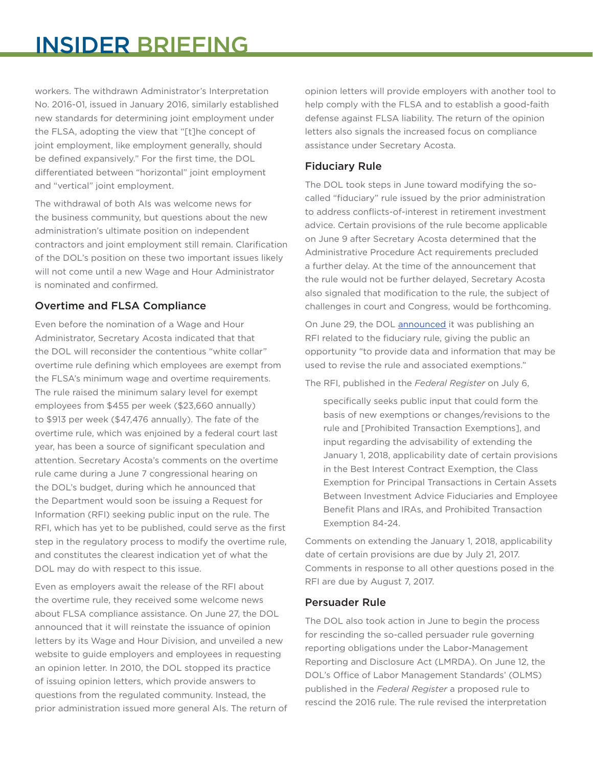# INSIDER BRIEFING

workers. The withdrawn Administrator's Interpretation No. 2016-01, issued in January 2016, similarly established new standards for determining joint employment under the FLSA, adopting the view that "[t]he concept of joint employment, like employment generally, should be defined expansively." For the first time, the DOL differentiated between "horizontal" joint employment and "vertical" joint employment.

The withdrawal of both AIs was welcome news for the business community, but questions about the new administration's ultimate position on independent contractors and joint employment still remain. Clarification of the DOL's position on these two important issues likely will not come until a new Wage and Hour Administrator is nominated and confirmed.

# Overtime and FLSA Compliance

Even before the nomination of a Wage and Hour Administrator, Secretary Acosta indicated that that the DOL will reconsider the contentious "white collar" overtime rule defining which employees are exempt from the FLSA's minimum wage and overtime requirements. The rule raised the minimum salary level for exempt employees from \$455 per week (\$23,660 annually) to \$913 per week (\$47,476 annually). The fate of the overtime rule, which was enjoined by a federal court last year, has been a source of significant speculation and attention. Secretary Acosta's comments on the overtime rule came during a June 7 congressional hearing on the DOL's budget, during which he announced that the Department would soon be issuing a Request for Information (RFI) seeking public input on the rule. The RFI, which has yet to be published, could serve as the first step in the regulatory process to modify the overtime rule, and constitutes the clearest indication yet of what the DOL may do with respect to this issue.

Even as employers await the release of the RFI about the overtime rule, they received some welcome news about FLSA compliance assistance. On June 27, the DOL announced that it will reinstate the issuance of opinion letters by its Wage and Hour Division, and unveiled a new website to guide employers and employees in requesting an opinion letter. In 2010, the DOL stopped its practice of issuing opinion letters, which provide answers to questions from the regulated community. Instead, the prior administration issued more general AIs. The return of opinion letters will provide employers with another tool to help comply with the FLSA and to establish a good-faith defense against FLSA liability. The return of the opinion letters also signals the increased focus on compliance assistance under Secretary Acosta.

## Fiduciary Rule

The DOL took steps in June toward modifying the socalled "fiduciary" rule issued by the prior administration to address conflicts-of-interest in retirement investment advice. Certain provisions of the rule become applicable on June 9 after Secretary Acosta determined that the Administrative Procedure Act requirements precluded a further delay. At the time of the announcement that the rule would not be further delayed, Secretary Acosta also signaled that modification to the rule, the subject of challenges in court and Congress, would be forthcoming.

On June 29, the DOL [announced](https://www.dol.gov/newsroom/releases/ebsa/ebsa20170629) it was publishing an RFI related to the fiduciary rule, giving the public an opportunity "to provide data and information that may be used to revise the rule and associated exemptions."

The RFI, published in the *Federal Register* on July 6,

specifically seeks public input that could form the basis of new exemptions or changes/revisions to the rule and [Prohibited Transaction Exemptions], and input regarding the advisability of extending the January 1, 2018, applicability date of certain provisions in the Best Interest Contract Exemption, the Class Exemption for Principal Transactions in Certain Assets Between Investment Advice Fiduciaries and Employee Benefit Plans and IRAs, and Prohibited Transaction Exemption 84-24.

Comments on extending the January 1, 2018, applicability date of certain provisions are due by July 21, 2017. Comments in response to all other questions posed in the RFI are due by August 7, 2017.

#### Persuader Rule

The DOL also took action in June to begin the process for rescinding the so-called persuader rule governing reporting obligations under the Labor-Management Reporting and Disclosure Act (LMRDA). On June 12, the DOL's Office of Labor Management Standards' (OLMS) published in the *Federal Register* a proposed rule to rescind the 2016 rule. The rule revised the interpretation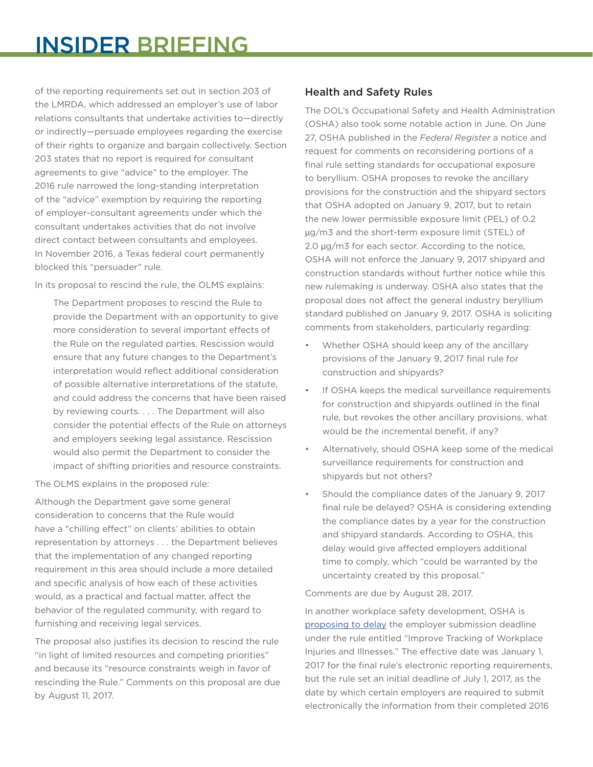of the reporting requirements set out in section 203 of the LMRDA, which addressed an employer's use of labor relations consultants that undertake activities to—directly or indirectly—persuade employees regarding the exercise of their rights to organize and bargain collectively. Section 203 states that no report is required for consultant agreements to give "advice" to the employer. The 2016 rule narrowed the long-standing interpretation of the "advice" exemption by requiring the reporting of employer-consultant agreements under which the consultant undertakes activities that do not involve direct contact between consultants and employees. In November 2016, a Texas federal court permanently blocked this "persuader" rule.

In its proposal to rescind the rule, the OLMS explains:

The Department proposes to rescind the Rule to provide the Department with an opportunity to give more consideration to several important effects of the Rule on the regulated parties. Rescission would ensure that any future changes to the Department's interpretation would reflect additional consideration of possible alternative interpretations of the statute, and could address the concerns that have been raised by reviewing courts. . . . The Department will also consider the potential effects of the Rule on attorneys and employers seeking legal assistance. Rescission would also permit the Department to consider the impact of shifting priorities and resource constraints.

The OLMS explains in the proposed rule:

Although the Department gave some general consideration to concerns that the Rule would have a "chilling effect" on clients' abilities to obtain representation by attorneys . . . the Department believes that the implementation of any changed reporting requirement in this area should include a more detailed and specific analysis of how each of these activities would, as a practical and factual matter, affect the behavior of the regulated community, with regard to furnishing and receiving legal services.

The proposal also justifies its decision to rescind the rule "in light of limited resources and competing priorities" and because its "resource constraints weigh in favor of rescinding the Rule." Comments on this proposal are due by August 11, 2017.

# Health and Safety Rules

The DOL's Occupational Safety and Health Administration (OSHA) also took some notable action in June. On June 27, OSHA published in the *Federal Register* a notice and request for comments on reconsidering portions of a final rule setting standards for occupational exposure to beryllium. OSHA proposes to revoke the ancillary provisions for the construction and the shipyard sectors that OSHA adopted on January 9, 2017, but to retain the new lower permissible exposure limit (PEL) of 0.2 μg/m3 and the short-term exposure limit (STEL) of 2.0 μg/m3 for each sector. According to the notice, OSHA will not enforce the January 9, 2017 shipyard and construction standards without further notice while this new rulemaking is underway. OSHA also states that the proposal does not affect the general industry beryllium standard published on January 9, 2017. OSHA is soliciting comments from stakeholders, particularly regarding:

- Whether OSHA should keep any of the ancillary provisions of the January 9, 2017 final rule for construction and shipyards?
- If OSHA keeps the medical surveillance requirements for construction and shipyards outlined in the final rule, but revokes the other ancillary provisions, what would be the incremental benefit, if any?
- Alternatively, should OSHA keep some of the medical surveillance requirements for construction and shipyards but not others?
- Should the compliance dates of the January 9, 2017 final rule be delayed? OSHA is considering extending the compliance dates by a year for the construction and shipyard standards. According to OSHA, this delay would give affected employers additional time to comply, which "could be warranted by the uncertainty created by this proposal."

Comments are due by August 28, 2017.

In another workplace safety development, OSHA is [proposing to delay](https://www.federalregister.gov/documents/2017/06/28/2017-13550/improve-tracking-of-workplace-injuries-and-illnesses-proposed-delay-of-compliance-date) the employer submission deadline under the rule entitled "Improve Tracking of Workplace Injuries and Illnesses." The effective date was January 1, 2017 for the final rule's electronic reporting requirements, but the rule set an initial deadline of July 1, 2017, as the date by which certain employers are required to submit electronically the information from their completed 2016